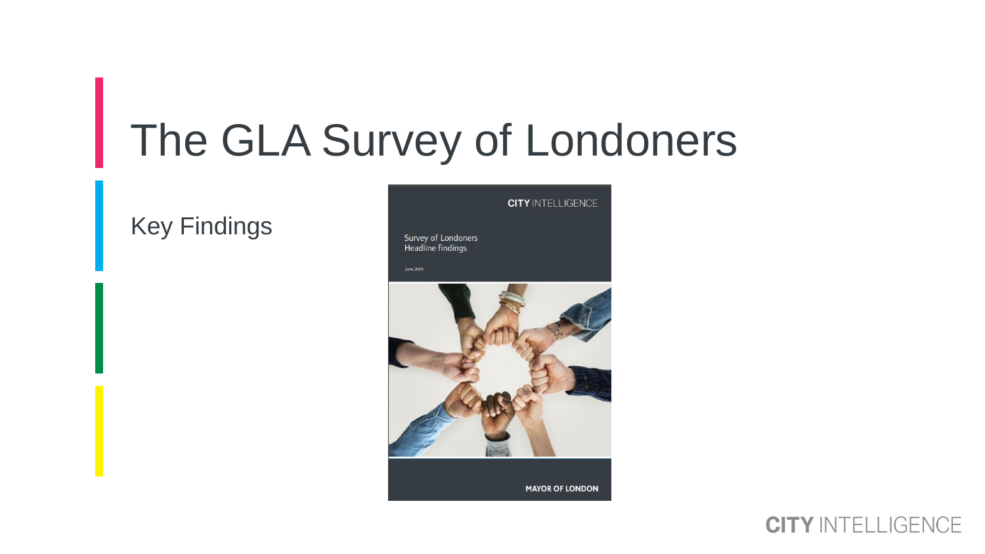# The GLA Survey of Londoners

#### Key Findings



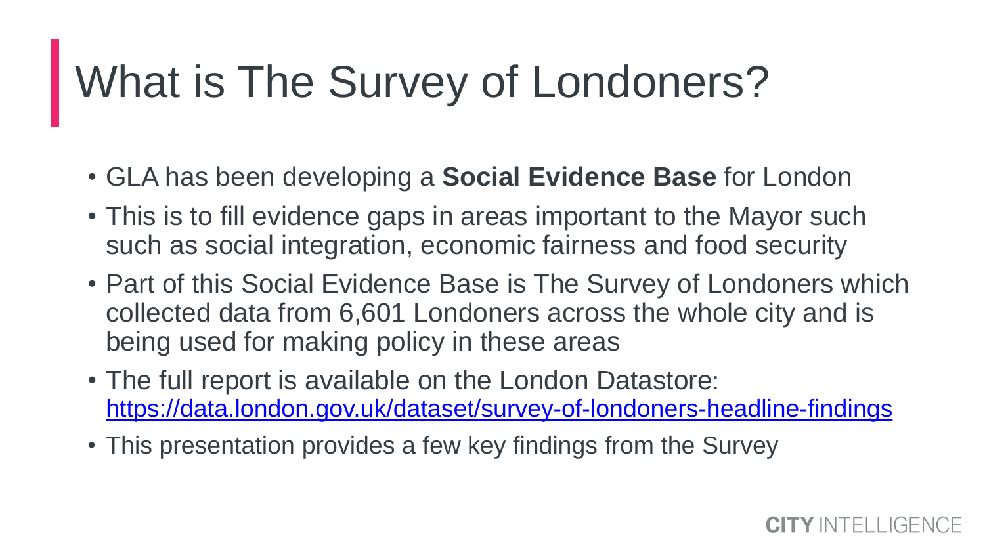# What is The Survey of Londoners?

- GLA has been developing a **Social Evidence Base** for London
- This is to fill evidence gaps in areas important to the Mayor such such as social integration, economic fairness and food security
- Part of this Social Evidence Base is The Survey of Londoners which collected data from 6,601 Londoners across the whole city and is being used for making policy in these areas
- The full report is available on the London Datastore: <https://data.london.gov.uk/dataset/survey-of-londoners-headline-findings>
- This presentation provides a few key findings from the Survey

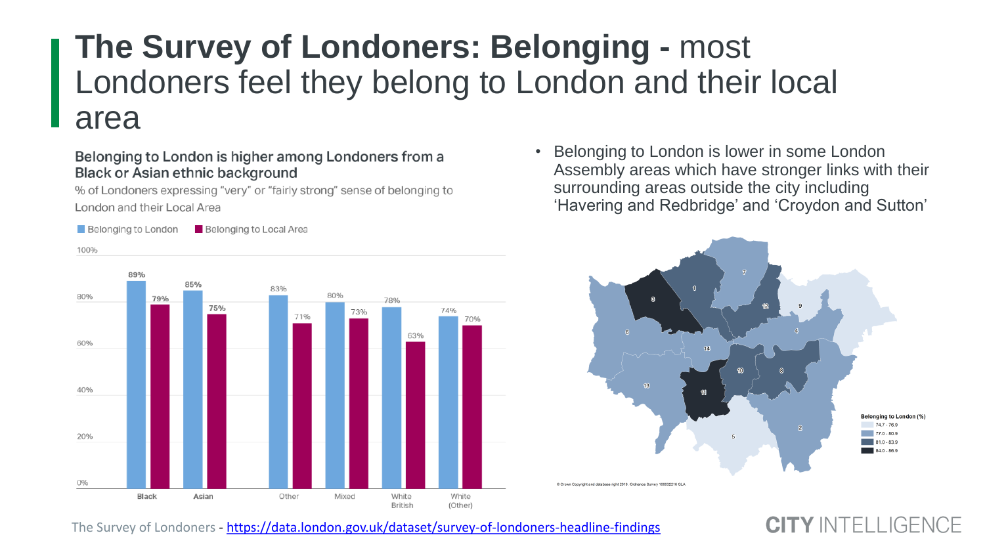## **The Survey of Londoners: Belonging -** most Londoners feel they belong to London and their local area

#### Belonging to London is higher among Londoners from a **Black or Asian ethnic background**

% of Londoners expressing "very" or "fairly strong" sense of belonging to London and their Local Area

Belonging to London **Belonging to Local Area** 



Belonging to London is lower in some London Assembly areas which have stronger links with their surrounding areas outside the city including 'Havering and Redbridge' and 'Croydon and Sutton'



TY INTELLIGENCE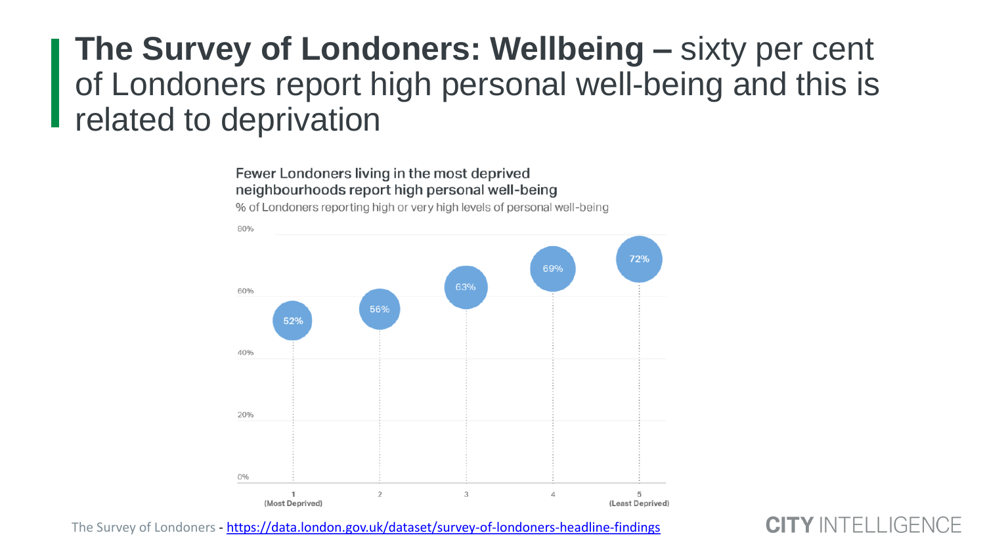## **The Survey of Londoners: Wellbeing –** sixty per cent of Londoners report high personal well-being and this is related to deprivation

#### Fewer Londoners living in the most deprived neighbourhoods report high personal well-being

% of Londoners reporting high or very high levels of personal well-being



The Survey of Londoners - <https://data.london.gov.uk/dataset/survey-of-londoners-headline-findings>

 $\vdash$ l I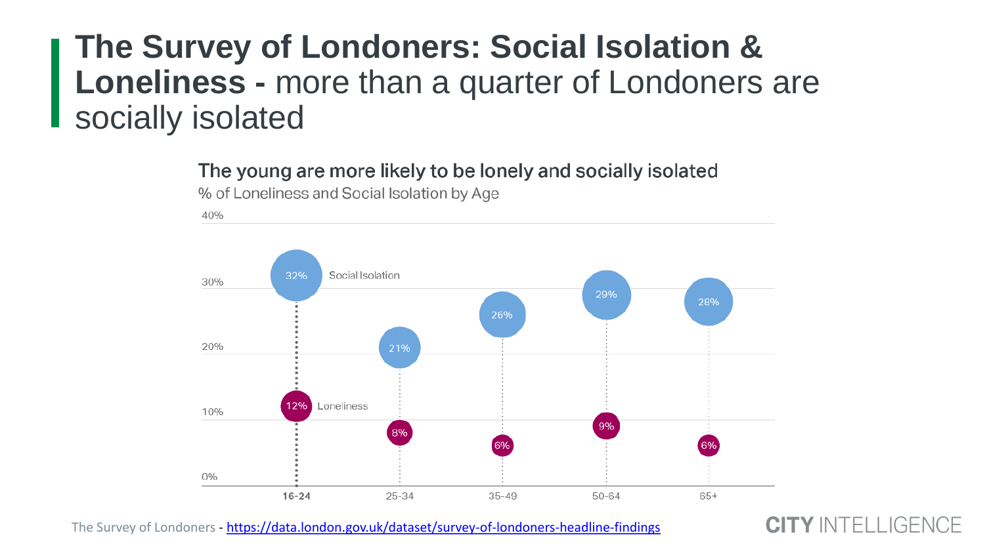## **The Survey of Londoners: Social Isolation & Loneliness -** more than a quarter of Londoners are socially isolated

The young are more likely to be lonely and socially isolated



% of Loneliness and Social Isolation by Age

The Survey of Londoners - <https://data.london.gov.uk/dataset/survey-of-londoners-headline-findings>

TY INTELLIGENCE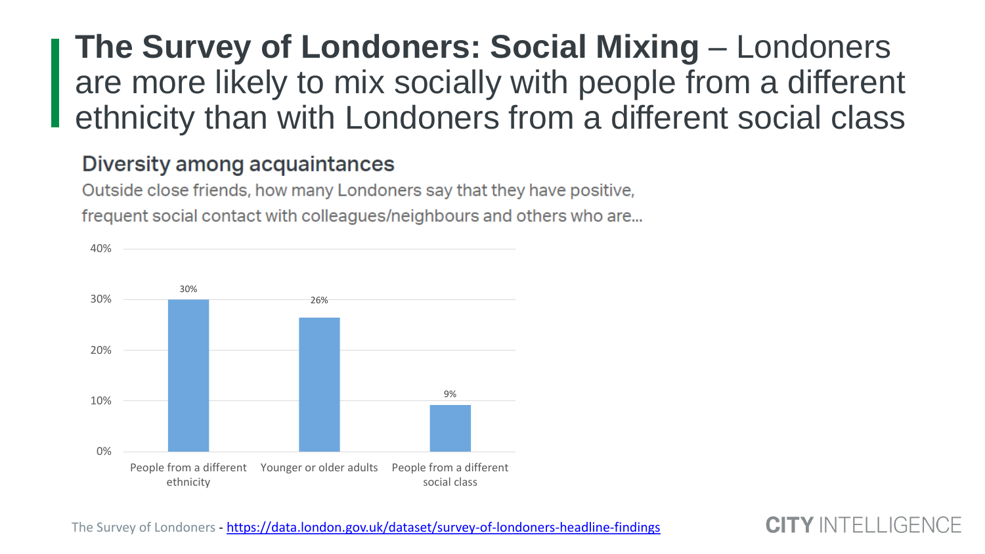## **The Survey of Londoners: Social Mixing – Londoners** are more likely to mix socially with people from a different ethnicity than with Londoners from a different social class

#### Diversity among acquaintances

Outside close friends, how many Londoners say that they have positive, frequent social contact with colleagues/neighbours and others who are...



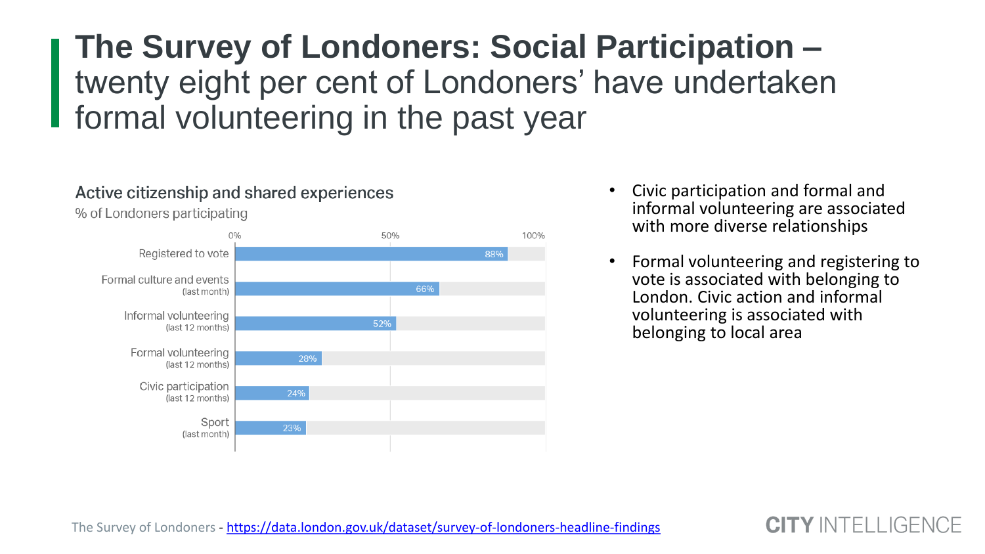## **The Survey of Londoners: Social Participation –** twenty eight per cent of Londoners' have undertaken formal volunteering in the past year

#### Active citizenship and shared experiences

% of Londoners participating



- Civic participation and formal and informal volunteering are associated with more diverse relationships
- Formal volunteering and registering to vote is associated with belonging to London. Civic action and informal volunteering is associated with belonging to local area

TY INTELL IGENCE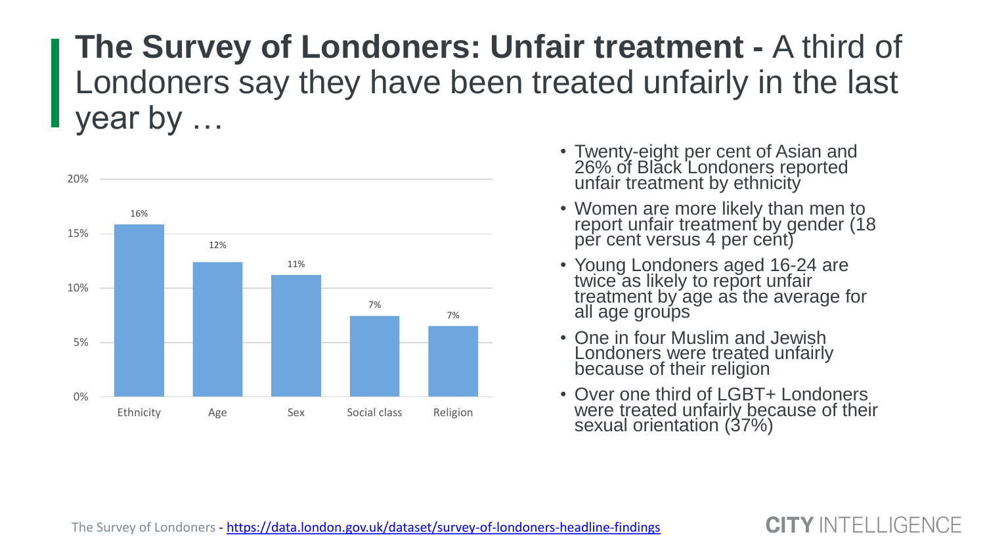## **The Survey of Londoners: Unfair treatment -** A third of Londoners say they have been treated unfairly in the last year by …



- Twenty-eight per cent of Asian and 26% of Black Londoners reported unfair treatment by ethnicity
- Women are more likely than men to report unfair treatment by gender (18 per cent versus 4 per cent)
- Young Londoners aged 16-24 are twice as likely to report unfair treatment by age as the average for all age groups
- One in four Muslim and Jewish Londoners were treated unfairly because of their religion
- Over one third of LGBT+ Londoners were treated unfairly because of their sexual orientation (37%)

#### TY INTELLIGENCE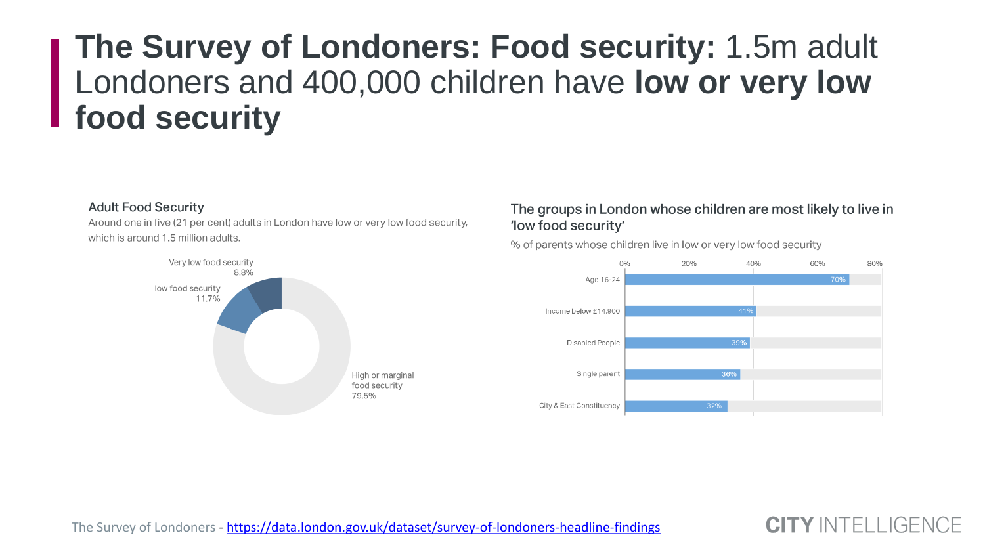# **The Survey of Londoners: Food security:** 1.5m adult Londoners and 400,000 children have **low or very low food security**

#### **Adult Food Security**

Around one in five (21 per cent) adults in London have low or very low food security, which is around 1.5 million adults.



#### The groups in London whose children are most likely to live in 'low food security'

% of parents whose children live in low or very low food security



**CITY INTELLIGENCE**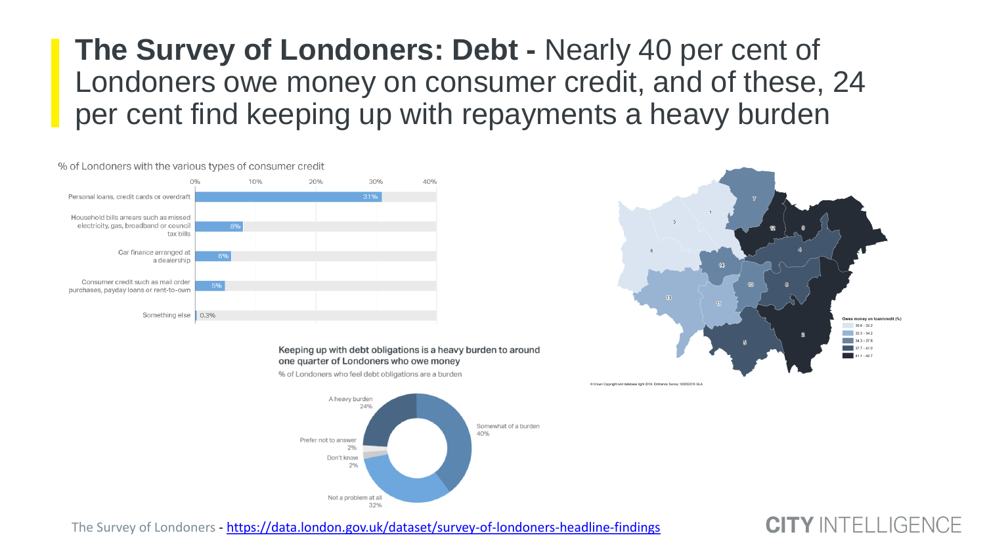**The Survey of Londoners: Debt -** Nearly 40 per cent of Londoners owe money on consumer credit, and of these, 24 per cent find keeping up with repayments a heavy burden



Keeping up with debt obligations is a heavy burden to around one quarter of Londoners who owe money



% of Londoners who feel debt obligations are a burden

# @ Crown Copyright and database right 2019. Ordnance Survey 100032216 GLA

The Survey of Londoners - <https://data.london.gov.uk/dataset/survey-of-londoners-headline-findings>

#### **CITY INTELLIGENCE**

Owes money on loan/credit (%)  $30.8 - 32.2$  $32.3 - 34.2$  $34.3 - 37.6$  $37.7 - 41.0$ 

 $411.427$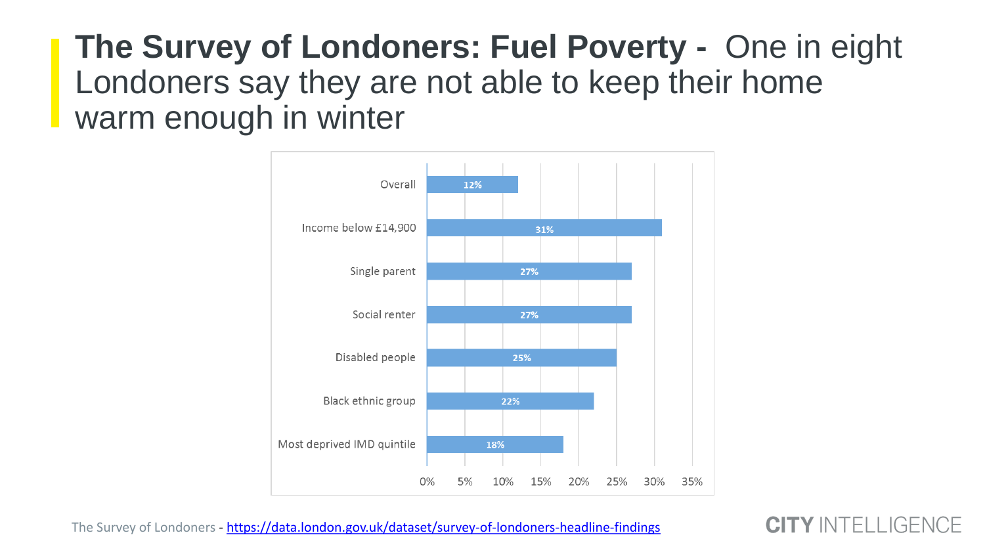**The Survey of Londoners: Fuel Poverty -** One in eight Londoners say they are not able to keep their home warm enough in winter



The Survey of Londoners - <https://data.london.gov.uk/dataset/survey-of-londoners-headline-findings>

**CITY INTELLIGENCE**